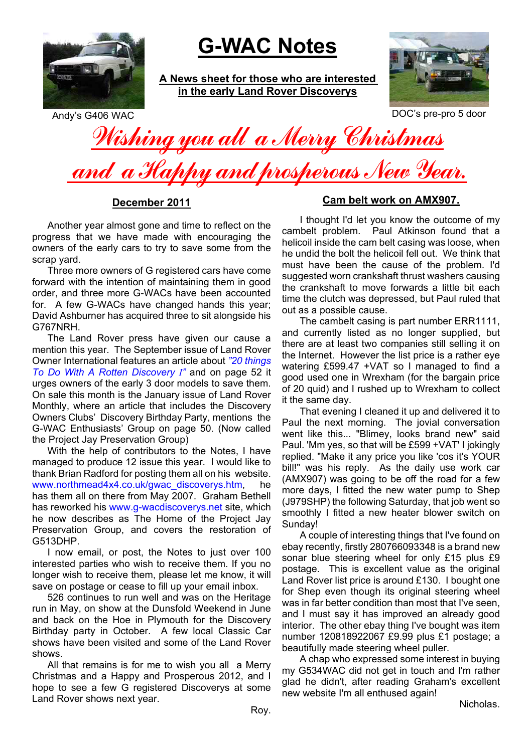

# **G-WAC Notes**

**A News sheet for those who are interested in the early Land Rover Discoverys**



Andy's G406 WAC DOC's pre-pro 5 door

Wishing you all a Merry Christmas and a Happy and prosperous N

**December 2011**

Another year almost gone and time to reflect on the progress that we have made with encouraging the owners of the early cars to try to save some from the scrap yard.

Three more owners of G registered cars have come forward with the intention of maintaining them in good order, and three more G-WACs have been accounted for. A few G-WACs have changed hands this year; David Ashburner has acquired three to sit alongside his G767NRH.

The Land Rover press have given our cause a mention this year. The September issue of Land Rover Owner International features an article about *"20 things To Do With A Rotten Discovery I"* and on page 52 it urges owners of the early 3 door models to save them. On sale this month is the January issue of Land Rover Monthly, where an article that includes the Discovery Owners Clubs' Discovery Birthday Party, mentions the G-WAC Enthusiasts' Group on page 50. (Now called the Project Jay Preservation Group)

With the help of contributors to the Notes, I have managed to produce 12 issue this year. I would like to thank Brian Radford for posting them all on his website. www.northmead4x4.co.uk/gwac\_discoverys.htm, he has them all on there from May 2007. Graham Bethell has reworked his www.g-wacdiscoverys.net site, which he now describes as The Home of the Project Jay Preservation Group, and covers the restoration of G513DHP.

I now email, or post, the Notes to just over 100 interested parties who wish to receive them. If you no longer wish to receive them, please let me know, it will save on postage or cease to fill up your email inbox.

526 continues to run well and was on the Heritage run in May, on show at the Dunsfold Weekend in June and back on the Hoe in Plymouth for the Discovery Birthday party in October. A few local Classic Car shows have been visited and some of the Land Rover shows.

All that remains is for me to wish you all a Merry Christmas and a Happy and Prosperous 2012, and I hope to see a few G registered Discoverys at some Land Rover shows next year.

#### **Cam belt work on AMX907.**

I thought I'd let you know the outcome of my cambelt problem. Paul Atkinson found that a helicoil inside the cam belt casing was loose, when he undid the bolt the helicoil fell out. We think that must have been the cause of the problem. I'd suggested worn crankshaft thrust washers causing the crankshaft to move forwards a little bit each time the clutch was depressed, but Paul ruled that out as a possible cause.

The cambelt casing is part number ERR1111, and currently listed as no longer supplied, but there are at least two companies still selling it on the Internet. However the list price is a rather eye watering £599.47 +VAT so I managed to find a good used one in Wrexham (for the bargain price of 20 quid) and I rushed up to Wrexham to collect it the same day.

That evening I cleaned it up and delivered it to Paul the next morning. The jovial conversation went like this... "Blimey, looks brand new" said Paul. 'Mm yes, so that will be £599 +VAT' I jokingly replied. "Make it any price you like 'cos it's YOUR bill!" was his reply. As the daily use work car (AMX907) was going to be off the road for a few more days, I fitted the new water pump to Shep (J979SHP) the following Saturday, that job went so smoothly I fitted a new heater blower switch on Sunday!

A couple of interesting things that I've found on ebay recently, firstly 280766093348 is a brand new sonar blue steering wheel for only £15 plus £9 postage. This is excellent value as the original Land Rover list price is around £130. I bought one for Shep even though its original steering wheel was in far better condition than most that I've seen, and I must say it has improved an already good interior. The other ebay thing I've bought was item number 120818922067 £9.99 plus £1 postage; a beautifully made steering wheel puller.

A chap who expressed some interest in buying my G534WAC did not get in touch and I'm rather glad he didn't, after reading Graham's excellent new website I'm all enthused again!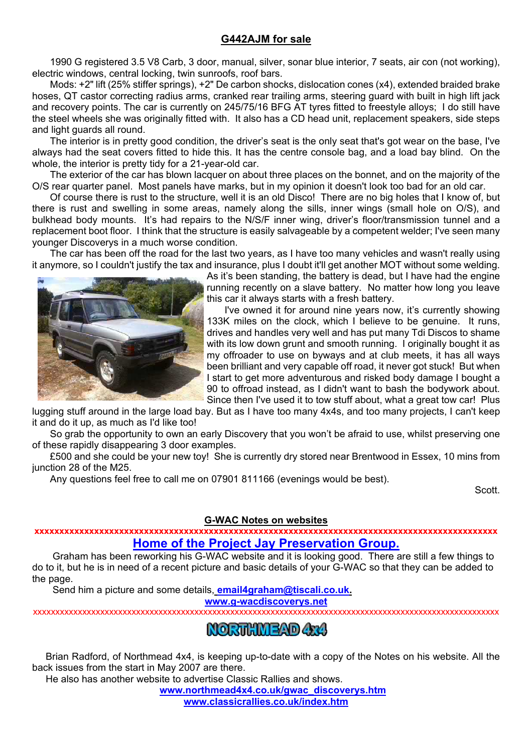#### **G442AJM for sale**

1990 G registered 3.5 V8 Carb, 3 door, manual, silver, sonar blue interior, 7 seats, air con (not working), electric windows, central locking, twin sunroofs, roof bars.

Mods: +2" lift (25% stiffer springs), +2" De carbon shocks, dislocation cones (x4), extended braided brake hoses, QT castor correcting radius arms, cranked rear trailing arms, steering guard with built in high lift jack and recovery points. The car is currently on 245/75/16 BFG AT tyres fitted to freestyle alloys; I do still have the steel wheels she was originally fitted with. It also has a CD head unit, replacement speakers, side steps and light guards all round.

The interior is in pretty good condition, the driver's seat is the only seat that's got wear on the base, I've always had the seat covers fitted to hide this. It has the centre console bag, and a load bay blind. On the whole, the interior is pretty tidy for a 21-year-old car.

The exterior of the car has blown lacquer on about three places on the bonnet, and on the majority of the O/S rear quarter panel. Most panels have marks, but in my opinion it doesn't look too bad for an old car.

Of course there is rust to the structure, well it is an old Disco! There are no big holes that I know of, but there is rust and swelling in some areas, namely along the sills, inner wings (small hole on O/S), and bulkhead body mounts. It's had repairs to the N/S/F inner wing, driver's floor/transmission tunnel and a replacement boot floor. I think that the structure is easily salvageable by a competent welder; I've seen many younger Discoverys in a much worse condition.

The car has been off the road for the last two years, as I have too many vehicles and wasn't really using it anymore, so I couldn't justify the tax and insurance, plus I doubt it'll get another MOT without some welding.



As it's been standing, the battery is dead, but I have had the engine running recently on a slave battery. No matter how long you leave this car it always starts with a fresh battery.

I've owned it for around nine years now, it's currently showing 133K miles on the clock, which I believe to be genuine. It runs, drives and handles very well and has put many Tdi Discos to shame with its low down grunt and smooth running. I originally bought it as my offroader to use on byways and at club meets, it has all ways been brilliant and very capable off road, it never got stuck! But when I start to get more adventurous and risked body damage I bought a 90 to offroad instead, as I didn't want to bash the bodywork about. Since then I've used it to tow stuff about, what a great tow car! Plus

lugging stuff around in the large load bay. But as I have too many 4x4s, and too many projects, I can't keep it and do it up, as much as I'd like too!

So grab the opportunity to own an early Discovery that you won't be afraid to use, whilst preserving one of these rapidly disappearing 3 door examples.

£500 and she could be your new toy! She is currently dry stored near Brentwood in Essex, 10 mins from junction 28 of the M25.

Any questions feel free to call me on 07901 811166 (evenings would be best).

Scott.

#### **G-WAC Notes on websites**

**xxxxxxxxxxxxxxxxxxxxxxxxxxxxxxxxxxxxxxxxxxxxxxxxxxxxxxxxxxxxxxxxxxxxxxxxxxxxxxxxxxxxxxxxxxxxx Home of the Project Jay Preservation Group.**

Graham has been reworking his G-WAC website and it is looking good. There are still a few things to do to it, but he is in need of a recent picture and basic details of your G-WAC so that they can be added to the page.

Send him a picture and some details, **email4graham@tiscali.co.uk.**

**www.g-wacdiscoverys.net**

xxxxxxxxxxxxxxxxxxxxxxxxxxxxxxxxxxxxxxxxxxxxxxxxxxxxxxxxxxxxxxxxxxxxxxxxxxxxxxxxxxxxxxxxxxxxxxxxxxxxxxxx

# NORTHMEAD 4x4

Brian Radford, of Northmead 4x4, is keeping up-to-date with a copy of the Notes on his website. All the back issues from the start in May 2007 are there.

He also has another website to advertise Classic Rallies and shows.

**www.northmead4x4.co.uk/gwac\_discoverys.htm www.classicrallies.co.uk/index.htm**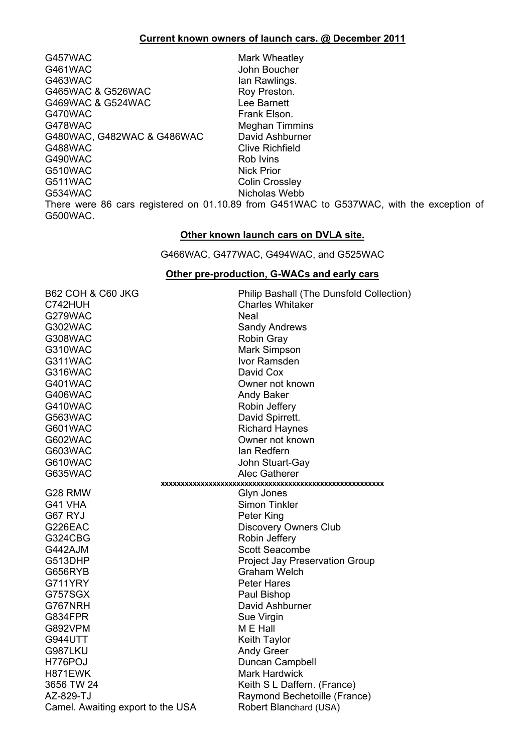#### **Current known owners of launch cars. @ December 2011**

G457WAC Mark Wheatley G461WAC John Boucher G463WAC Ian Rawlings. G465WAC & G526WAC Roy Preston. G469WAC & G524WAC Lee Barnett G470WAC Frank Elson. G478WAC<br>
G480WAC. G482WAC & G486WAC David Ashburner G480WAC, G482WAC & G486WAC G488WAC Clive Richfield G490WAC Rob Ivins G510WAC Nick Prior G511WAC Colin Crossley G534WAC Nicholas Webb

There were 86 cars registered on 01.10.89 from G451WAC to G537WAC, with the exception of G500WAC.

#### **Other known launch cars on DVLA site.**

G466WAC, G477WAC, G494WAC, and G525WAC

#### **Other pre-production, G-WACs and early cars**

| <b>B62 COH &amp; C60 JKG</b>      | Philip Bashall (The Dunsfold Collection) |
|-----------------------------------|------------------------------------------|
| C742HUH                           | <b>Charles Whitaker</b>                  |
| G279WAC                           | Neal                                     |
| G302WAC                           | <b>Sandy Andrews</b>                     |
| G308WAC                           | <b>Robin Gray</b>                        |
| G310WAC                           | Mark Simpson                             |
| G311WAC                           | Ivor Ramsden                             |
| G316WAC                           | David Cox                                |
| <b>G401WAC</b>                    | Owner not known                          |
| <b>G406WAC</b>                    | <b>Andy Baker</b>                        |
| G410WAC                           | Robin Jeffery                            |
| G563WAC                           | David Spirrett.                          |
| G601WAC                           | <b>Richard Haynes</b>                    |
| <b>G602WAC</b>                    | Owner not known                          |
| G603WAC                           | lan Redfern                              |
| G610WAC                           | John Stuart-Gay                          |
| <b>G635WAC</b>                    | Alec Gatherer                            |
|                                   |                                          |
| G28 RMW                           | Glyn Jones                               |
| G41 VHA                           | <b>Simon Tinkler</b>                     |
| G67 RYJ                           | Peter King                               |
| G226EAC                           | <b>Discovery Owners Club</b>             |
| G324CBG                           | Robin Jeffery                            |
| G442AJM                           | <b>Scott Seacombe</b>                    |
| G513DHP                           | <b>Project Jay Preservation Group</b>    |
| G656RYB                           | <b>Graham Welch</b>                      |
| G711YRY                           | <b>Peter Hares</b>                       |
| G757SGX                           | Paul Bishop                              |
| G767NRH                           | David Ashburner                          |
| G834FPR                           | Sue Virgin                               |
| G892VPM                           | M E Hall                                 |
| <b>G944UTT</b>                    | Keith Taylor                             |
| G987LKU                           | <b>Andy Greer</b>                        |
| H776POJ                           | Duncan Campbell                          |
| H871EWK                           | <b>Mark Hardwick</b>                     |
| 3656 TW 24                        | Keith S L Daffern. (France)              |
| AZ-829-TJ                         | Raymond Bechetoille (France)             |
| Camel. Awaiting export to the USA | Robert Blanchard (USA)                   |